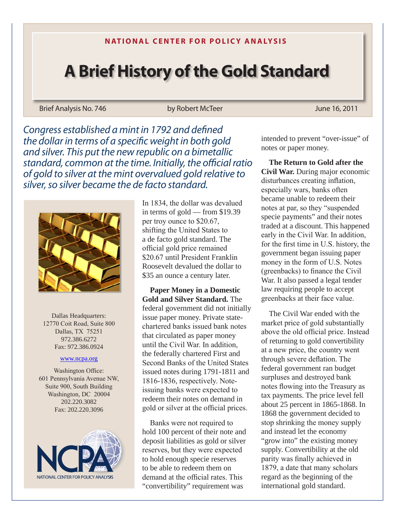## **N ATIONAL CENTER FOR POLICY ANALYSIS**

## **A Brief History of the Gold Standard**

Brief Analysis No. 746 **by Robert McTeer** June 16, 2011

*Congress established a mint in 1792 and defined the dollar in terms of a specific weight in both gold and silver. This put the new republic on a bimetallic standard, common at the time. Initially, the official ratio of gold to silver at the mint overvalued gold relative to silver, so silver became the de facto standard.*



Dallas Headquarters: 12770 Coit Road, Suite 800 Dallas, TX 75251 972.386.6272 Fax: 972.386.0924

## www.ncpa.org

Washington Office: 601 Pennsylvania Avenue NW, Suite 900, South Building Washington, DC 20004 202.220.3082 Fax: 202.220.3096



In 1834, the dollar was devalued in terms of gold — from \$19.39 per troy ounce to \$20.67, shifting the United States to a de facto gold standard. The official gold price remained \$20.67 until President Franklin Roosevelt devalued the dollar to \$35 an ounce a century later.

**Paper Money in a Domestic Gold and Silver Standard.** The federal government did not initially issue paper money. Private statechartered banks issued bank notes that circulated as paper money until the Civil War. In addition, the federally chartered First and Second Banks of the United States issued notes during 1791-1811 and 1816-1836, respectively. Noteissuing banks were expected to redeem their notes on demand in gold or silver at the official prices.

Banks were not required to hold 100 percent of their note and deposit liabilities as gold or silver reserves, but they were expected to hold enough specie reserves to be able to redeem them on demand at the official rates. This "convertibility" requirement was

intended to prevent "over-issue" of notes or paper money.

**The Return to Gold after the Civil War.** During major economic disturbances creating inflation, especially wars, banks often became unable to redeem their notes at par, so they "suspended specie payments" and their notes traded at a discount. This happened early in the Civil War. In addition, for the first time in U.S. history, the government began issuing paper money in the form of U.S. Notes (greenbacks) to finance the Civil War. It also passed a legal tender law requiring people to accept greenbacks at their face value.

The Civil War ended with the market price of gold substantially above the old official price. Instead of returning to gold convertibility at a new price, the country went through severe deflation. The federal government ran budget surpluses and destroyed bank notes flowing into the Treasury as tax payments. The price level fell about 25 percent in 1865-1868. In 1868 the government decided to stop shrinking the money supply and instead let the economy "grow into" the existing money" supply. Convertibility at the old parity was finally achieved in 1879, a date that many scholars regard as the beginning of the international gold standard.